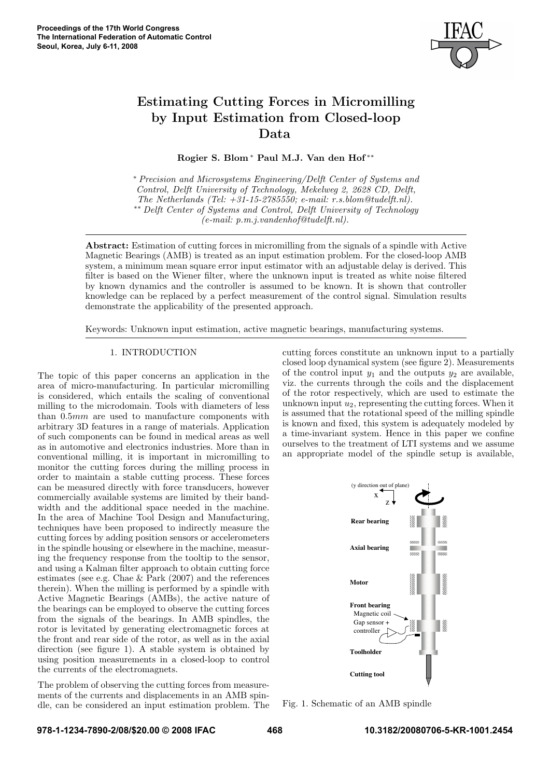

# Estimating Cutting Forces in Micromilling by Input Estimation from Closed-loop Data

Rogier S. Blom <sup>∗</sup> Paul M.J. Van den Hof ∗∗

<sup>∗</sup> Precision and Microsystems Engineering/Delft Center of Systems and Control, Delft University of Technology, Mekelweg 2, 2628 CD, Delft, The Netherlands (Tel:  $+31-15-2785550$ ; e-mail: r.s.blom@tudelft.nl). ∗∗ Delft Center of Systems and Control, Delft University of Technology  $(e-mail: p.m.i.vandenhof@tudelft.nl).$ 

Abstract: Estimation of cutting forces in micromilling from the signals of a spindle with Active Magnetic Bearings (AMB) is treated as an input estimation problem. For the closed-loop AMB system, a minimum mean square error input estimator with an adjustable delay is derived. This filter is based on the Wiener filter, where the unknown input is treated as white noise filtered by known dynamics and the controller is assumed to be known. It is shown that controller knowledge can be replaced by a perfect measurement of the control signal. Simulation results demonstrate the applicability of the presented approach.

Keywords: Unknown input estimation, active magnetic bearings, manufacturing systems.

## 1. INTRODUCTION

The topic of this paper concerns an application in the area of micro-manufacturing. In particular micromilling is considered, which entails the scaling of conventional milling to the microdomain. Tools with diameters of less than 0.5mm are used to manufacture components with arbitrary 3D features in a range of materials. Application of such components can be found in medical areas as well as in automotive and electronics industries. More than in conventional milling, it is important in micromilling to monitor the cutting forces during the milling process in order to maintain a stable cutting process. These forces can be measured directly with force transducers, however commercially available systems are limited by their bandwidth and the additional space needed in the machine. In the area of Machine Tool Design and Manufacturing, techniques have been proposed to indirectly measure the cutting forces by adding position sensors or accelerometers in the spindle housing or elsewhere in the machine, measuring the frequency response from the tooltip to the sensor, and using a Kalman filter approach to obtain cutting force estimates (see e.g. Chae & Park (2007) and the references therein). When the milling is performed by a spindle with Active Magnetic Bearings (AMBs), the active nature of the bearings can be employed to observe the cutting forces from the signals of the bearings. In AMB spindles, the rotor is levitated by generating electromagnetic forces at the front and rear side of the rotor, as well as in the axial direction (see figure 1). A stable system is obtained by using position measurements in a closed-loop to control the currents of the electromagnets.

The problem of observing the cutting forces from measurements of the currents and displacements in an AMB spindle, can be considered an input estimation problem. The cutting forces constitute an unknown input to a partially closed loop dynamical system (see figure 2). Measurements of the control input  $y_1$  and the outputs  $y_2$  are available, viz. the currents through the coils and the displacement of the rotor respectively, which are used to estimate the unknown input  $u_2$ , representing the cutting forces. When it is assumed that the rotational speed of the milling spindle is known and fixed, this system is adequately modeled by a time-invariant system. Hence in this paper we confine ourselves to the treatment of LTI systems and we assume an appropriate model of the spindle setup is available,



Fig. 1. Schematic of an AMB spindle

#### **978-1-1234-7890-2/08/\$20.00 © 2008 IFAC 468 10.3182/20080706-5-KR-1001.2454**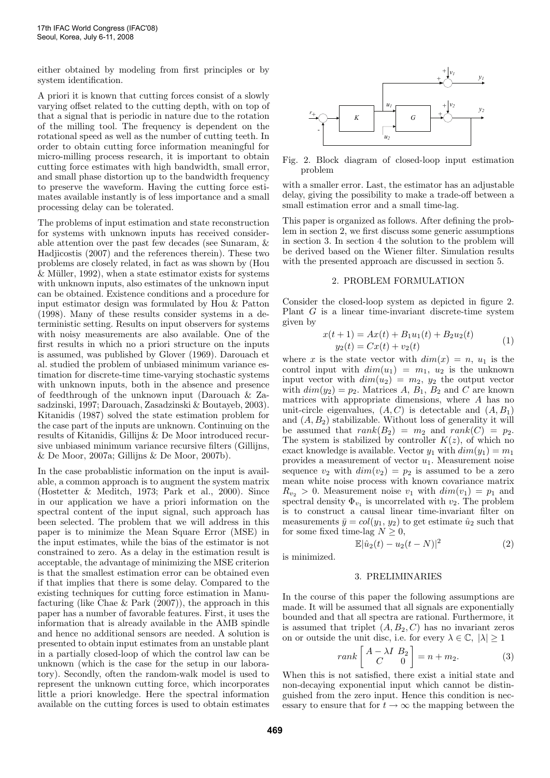either obtained by modeling from first principles or by system identification.

A priori it is known that cutting forces consist of a slowly varying offset related to the cutting depth, with on top of that a signal that is periodic in nature due to the rotation of the milling tool. The frequency is dependent on the rotational speed as well as the number of cutting teeth. In order to obtain cutting force information meaningful for micro-milling process research, it is important to obtain cutting force estimates with high bandwidth, small error, and small phase distortion up to the bandwidth frequency to preserve the waveform. Having the cutting force estimates available instantly is of less importance and a small processing delay can be tolerated.

The problems of input estimation and state reconstruction for systems with unknown inputs has received considerable attention over the past few decades (see Sunaram, & Hadjicostis (2007) and the references therein). These two problems are closely related, in fact as was shown by (Hou  $&$  Müller, 1992), when a state estimator exists for systems with unknown inputs, also estimates of the unknown input can be obtained. Existence conditions and a procedure for input estimator design was formulated by Hou & Patton (1998). Many of these results consider systems in a deterministic setting. Results on input observers for systems with noisy measurements are also available. One of the first results in which no a priori structure on the inputs is assumed, was published by Glover (1969). Darouach et al. studied the problem of unbiased minimum variance estimation for discrete-time time-varying stochastic systems with unknown inputs, both in the absence and presence of feedthrough of the unknown input (Darouach & Zasadzinski, 1997; Darouach, Zasadzinski & Boutayeb, 2003). Kitanidis (1987) solved the state estimation problem for the case part of the inputs are unknown. Continuing on the results of Kitanidis, Gillijns & De Moor introduced recursive unbiased minimum variance recursive filters (Gillijns, & De Moor, 2007a; Gillijns & De Moor, 2007b).

In the case probablistic information on the input is available, a common approach is to augment the system matrix (Hostetter & Meditch, 1973; Park et al., 2000). Since in our application we have a priori information on the spectral content of the input signal, such approach has been selected. The problem that we will address in this paper is to minimize the Mean Square Error (MSE) in the input estimates, while the bias of the estimator is not constrained to zero. As a delay in the estimation result is acceptable, the advantage of minimizing the MSE criterion is that the smallest estimation error can be obtained even if that implies that there is some delay. Compared to the existing techniques for cutting force estimation in Manufacturing (like Chae  $&$  Park (2007)), the approach in this paper has a number of favorable features. First, it uses the information that is already available in the AMB spindle and hence no additional sensors are needed. A solution is presented to obtain input estimates from an unstable plant in a partially closed-loop of which the control law can be unknown (which is the case for the setup in our laboratory). Secondly, often the random-walk model is used to represent the unknown cutting force, which incorporates little a priori knowledge. Here the spectral information available on the cutting forces is used to obtain estimates



Fig. 2. Block diagram of closed-loop input estimation problem

with a smaller error. Last, the estimator has an adjustable delay, giving the possibility to make a trade-off between a small estimation error and a small time-lag.

This paper is organized as follows. After defining the problem in section 2, we first discuss some generic assumptions in section 3. In section 4 the solution to the problem will be derived based on the Wiener filter. Simulation results with the presented approach are discussed in section 5.

## 2. PROBLEM FORMULATION

Consider the closed-loop system as depicted in figure 2. Plant  $G$  is a linear time-invariant discrete-time system given by

$$
x(t+1) = Ax(t) + B_1u_1(t) + B_2u_2(t)
$$
  
\n
$$
y_2(t) = Cx(t) + v_2(t)
$$
\n(1)

where x is the state vector with  $dim(x) = n$ ,  $u_1$  is the control input with  $dim(u_1) = m_1$ ,  $u_2$  is the unknown input vector with  $dim(u_2) = m_2$ ,  $y_2$  the output vector with  $dim(y_2) = p_2$ . Matrices A,  $B_1$ ,  $B_2$  and C are known matrices with appropriate dimensions, where A has no unit-circle eigenvalues,  $(A, C)$  is detectable and  $(A, B<sub>1</sub>)$ and  $(A, B<sub>2</sub>)$  stabilizable. Without loss of generality it will be assumed that  $rank(B_2) = m_2$  and  $rank(C) = p_2$ . The system is stabilized by controller  $K(z)$ , of which no exact knowledge is available. Vector  $y_1$  with  $dim(y_1) = m_1$ provides a measurement of vector  $u_1$ . Measurement noise sequence  $v_2$  with  $dim(v_2) = p_2$  is assumed to be a zero mean white noise process with known covariance matrix  $R_{v_2} > 0$ . Measurement noise  $v_1$  with  $dim(v_1) = p_1$  and spectral density  $\Phi_{v_1}$  is uncorrelated with  $v_2$ . The problem is to construct a causal linear time-invariant filter on measurements  $\bar{y} = col(y_1, y_2)$  to get estimate  $\hat{u}_2$  such that for some fixed time-lag  $N > 0$ ,

$$
\mathbb{E}|\hat{u}_2(t) - u_2(t - N)|^2 \tag{2}
$$

is minimized.

#### 3. PRELIMINARIES

In the course of this paper the following assumptions are made. It will be assumed that all signals are exponentially bounded and that all spectra are rational. Furthermore, it is assumed that triplet  $(A, B_2, C)$  has no invariant zeros on or outside the unit disc, i.e. for every  $\lambda \in \mathbb{C}, |\lambda| \geq 1$ 

$$
rank\left[\begin{array}{cc} A - \lambda I & B_2 \\ C & 0 \end{array}\right] = n + m_2. \tag{3}
$$

When this is not satisfied, there exist a initial state and non-decaying exponential input which cannot be distinguished from the zero input. Hence this condition is necessary to ensure that for  $t \to \infty$  the mapping between the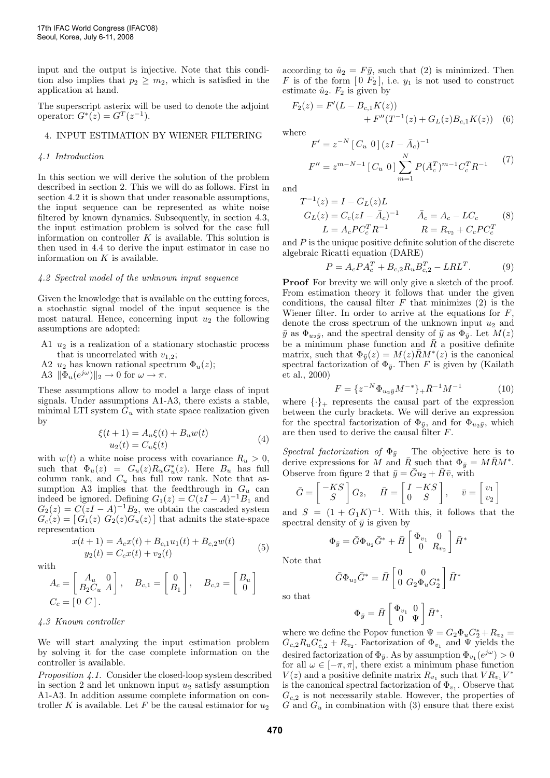input and the output is injective. Note that this condition also implies that  $p_2 \geq m_2$ , which is satisfied in the application at hand.

The superscript asterix will be used to denote the adjoint operator:  $G^*(z) = G^T(z^{-1}).$ 

# 4. INPUT ESTIMATION BY WIENER FILTERING

#### 4.1 Introduction

In this section we will derive the solution of the problem described in section 2. This we will do as follows. First in section 4.2 it is shown that under reasonable assumptions, the input sequence can be represented as white noise filtered by known dynamics. Subsequently, in section 4.3, the input estimation problem is solved for the case full information on controller  $K$  is available. This solution is then used in 4.4 to derive the input estimator in case no information on  $K$  is available.

## 4.2 Spectral model of the unknown input sequence

Given the knowledge that is available on the cutting forces, a stochastic signal model of the input sequence is the most natural. Hence, concerning input  $u_2$  the following assumptions are adopted:

- A1  $u_2$  is a realization of a stationary stochastic process that is uncorrelated with  $v_{1,2}$ ;
- A2  $u_2$  has known rational spectrum  $\Phi_u(z)$ ;
- A3  $\|\Phi_u(e^{j\omega})\|_2 \to 0$  for  $\omega \to \pi$ .

These assumptions allow to model a large class of input signals. Under assumptions A1-A3, there exists a stable, minimal LTI system  $G_u$  with state space realization given by

$$
\xi(t+1) = A_u \xi(t) + B_u w(t) u_2(t) = C_u \xi(t)
$$
\n(4)

with  $w(t)$  a white noise process with covariance  $R_u > 0$ , such that  $\Phi_u(z) = G_u(z) R_u G_u^*(z)$ . Here  $B_u$  has full column rank, and  $C_u$  has full row rank. Note that assumption A3 implies that the feedthrough in  $G_u$  can indeed be ignored. Defining  $G_1(z) = C(zI - A)^{-1}B_1$  and  $G_2(z) = C(zI - A)^{-1}B_2$ , we obtain the cascaded system  $G_c(z) = [ G_1(z) G_2(z) G_u(z) ]$  that admits the state-space representation

$$
x(t+1) = A_c x(t) + B_{c,1} u_1(t) + B_{c,2} w(t)
$$
  
\n
$$
y_2(t) = C_c x(t) + v_2(t)
$$
\n(5)

with

$$
A_c = \begin{bmatrix} A_u & 0 \\ B_2 C_u & A \end{bmatrix}, \quad B_{c,1} = \begin{bmatrix} 0 \\ B_1 \end{bmatrix}, \quad B_{c,2} = \begin{bmatrix} B_u \\ 0 \end{bmatrix}
$$
  

$$
C_c = \begin{bmatrix} 0 & C \end{bmatrix}.
$$

#### 4.3 Known controller

We will start analyzing the input estimation problem by solving it for the case complete information on the controller is available.

Proposition 4.1. Consider the closed-loop system described in section 2 and let unknown input  $u_2$  satisfy assumption A1-A3. In addition assume complete information on controller K is available. Let F be the causal estimator for  $u_2$ 

according to  $\hat{u}_2 = F\bar{y}$ , such that (2) is minimized. Then F is of the form  $[0 F_2]$ , i.e.  $y_1$  is not used to construct estimate  $\hat{u}_2$ .  $F_2$  is given by

$$
F_2(z) = F'(L - B_{c,1}K(z)) + F''(T^{-1}(z) + G_L(z)B_{c,1}K(z))
$$
 (6)

where

$$
F' = z^{-N} [C_u \ 0] (zI - \bar{A}_c)^{-1}
$$
  

$$
F'' = z^{m-N-1} [C_u \ 0] \sum_{m=1}^{N} P(\bar{A}_c^T)^{m-1} C_c^T R^{-1}
$$
 (7)

and

$$
T^{-1}(z) = I - G_L(z)L
$$
  
\n
$$
G_L(z) = C_c(zI - \bar{A}_c)^{-1}
$$
  
\n
$$
\bar{A}_c = A_c - LC_c
$$
  
\n
$$
L = A_c PC_c^T R^{-1}
$$
  
\n
$$
R = R_{v_2} + C_c PC_c^T
$$
  
\n(8)

and  $P$  is the unique positive definite solution of the discrete algebraic Ricatti equation (DARE)

$$
P = A_c P A_c^T + B_{c,2} R_u B_{c,2}^T - L R L^T.
$$
 (9)

**Proof** For brevity we will only give a sketch of the proof. From estimation theory it follows that under the given conditions, the causal filter  $F$  that minimizes  $(2)$  is the Wiener filter. In order to arrive at the equations for  $F$ , denote the cross spectrum of the unknown input  $u_2$  and  $\bar{y}$  as  $\Phi_{u_2\bar{y}}$ , and the spectral density of  $\bar{y}$  as  $\Phi_{\bar{y}}$ . Let  $M(z)$ be a minimum phase function and  $\overline{R}$  a positive definite matrix, such that  $\Phi_{\bar{y}}(z) = M(z) \bar{R} M^*(z)$  is the canonical spectral factorization of  $\Phi_{\bar{y}}$ . Then F is given by (Kailath et al., 2000)

$$
F = \{z^{-N}\Phi_{u_2\bar{y}}M^{-*}\}_+\bar{R}^{-1}M^{-1}
$$
 (10)

where  $\{\cdot\}_+$  represents the causal part of the expression between the curly brackets. We will derive an expression for the spectral factorization of  $\Phi_{\bar{y}}$ , and for  $\Phi_{u_2\bar{y}}$ , which are then used to derive the causal filter F.

Spectral factorization of  $\Phi_{\bar{y}}$  The objective here is to derive expressions for M and  $\overline{R}$  such that  $\Phi_{\overline{y}} = M \overline{R} M^*$ . Observe from figure 2 that  $\bar{y} = \bar{G}u_2 + \bar{H}\bar{v}$ , with

$$
\bar{G} = \begin{bmatrix} -KS \\ S \end{bmatrix} G_2, \quad \bar{H} = \begin{bmatrix} I & -KS \\ 0 & S \end{bmatrix}, \quad \bar{v} = \begin{bmatrix} v_1 \\ v_2 \end{bmatrix}
$$

and  $S = (1 + G_1 K)^{-1}$ . With this, it follows that the spectral density of  $\bar{y}$  is given by

$$
\Phi_{\bar{y}} = \bar{G} \Phi_{u_2} \bar{G}^* + \bar{H} \begin{bmatrix} \Phi_{v_1} & 0 \\ 0 & R_{v_2} \end{bmatrix} \bar{H}^*
$$

Note that

$$
\bar G\Phi_{u_2}\bar G^*=\bar H\left[\begin{matrix}0&0\\0&G_2\Phi_uG_2^*\end{matrix}\right]\bar H^*
$$

so that

$$
\Phi_{\bar y}=\bar H\left[\begin{array}{cc}\Phi_{v_1}&0\\0&\Psi\end{array}\right]\bar H^*,
$$

where we define the Popov function  $\Psi = G_2 \Phi_u G_2^* + R_{v_2} =$  $G_{c,2}R_uG_{c,2}^* + R_{v_2}$ . Factorization of  $\Phi_{v_1}$  and  $\Psi$  yields the desired factorization of  $\Phi_{\bar{y}}$ . As by assumption  $\Phi_{v_1}(e^{j\omega}) > 0$ for all  $\omega \in [-\pi, \pi]$ , there exist a minimum phase function  $V(z)$  and a positive definite matrix  $R_{v_1}$  such that  $VR_{v_1}V^*$ is the canonical spectral factorization of  $\Phi_{v_1}$ . Observe that  $G_{c,2}$  is not necessarily stable. However, the properties of G and  $G_u$  in combination with (3) ensure that there exist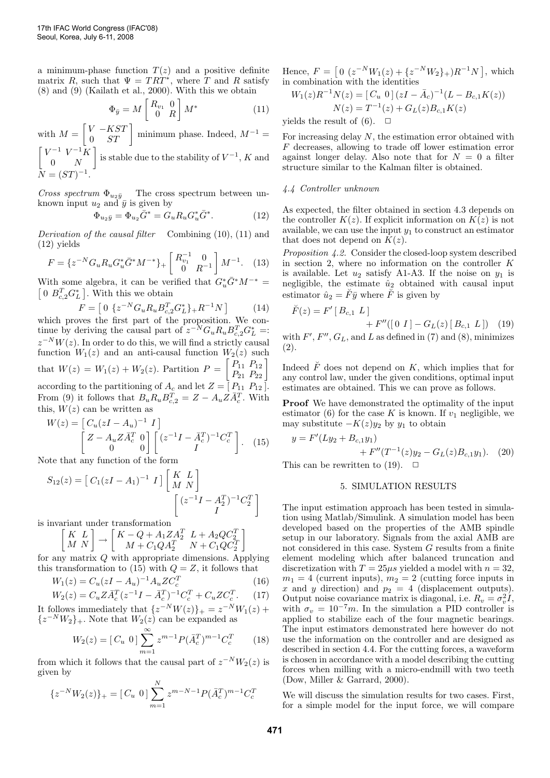a minimum-phase function  $T(z)$  and a positive definite matrix R, such that  $\Psi = TRT^*$ , where T and R satisfy (8) and (9) (Kailath et al., 2000). With this we obtain

$$
\Phi_{\bar{y}} = M \begin{bmatrix} R_{v_1} & 0 \\ 0 & R \end{bmatrix} M^* \tag{11}
$$

with  $M = \begin{bmatrix} V & -KST \\ 0 & ST \end{bmatrix}$  minimum phase. Indeed,  $M^{-1} =$  $\left\lceil V^{-1} V^{-1} K \right\rceil$  $0\qquad N$ is stable due to the stability of  $V^{-1}$ , K and  $N = (ST)^{-1}.$ 

Cross spectrum  $\Phi_{u_2\bar{y}}$  The cross spectrum between unknown input  $u_2$  and  $\bar{y}$  is given by

$$
\Phi_{u_2\bar{y}} = \Phi_{u_2}\bar{G}^* = G_u R_u G_u^* \bar{G}^*.
$$
 (12)

Derivation of the causal filter Combining (10), (11) and (12) yields

$$
F = \{z^{-N}G_u R_u G_u^* \bar{G}^* M^{-*}\} + \begin{bmatrix} R_{v_1}^{-1} & 0 \\ 0 & R^{-1} \end{bmatrix} M^{-1}.
$$
 (13)

With some algebra, it can be verified that  $G_u^* \bar{G}^* M^{-*} =$   $[0, B_c^T, G_L^*]$ . With this we obtain 0  $B_{c,2}^T G_L^*$ . With this we obtain

$$
F = \left[ 0 \left\{ z^{-N} G_u R_u B_{c,2}^T G_L^* \right\} + R^{-1} N \right] \tag{14}
$$

which proves the first part of the proposition. We continue by deriving the causal part of  $z^{-N}G_uR_uB_{c,2}^TG_L^*$  =:  $z^{-N}W(z)$ . In order to do this, we will find a strictly causal function  $W_1(z)$  and an anti-causal function  $W_2(z)$  such that  $W(z) = W_1(z) + W_2(z)$ . Partition  $P = \begin{bmatrix} P_{11} & P_{12} \\ P_{21} & P_{22} \end{bmatrix}$ according to the partitioning of  $A_c$  and let  $Z = [P_{11} \ P_{12}]$ . From (9) it follows that  $B_u R_u B_{c,2}^T = Z - A_u Z \overline{A}_c^T$ . With this,  $W(z)$  can be written as

$$
W(z) = \begin{bmatrix} C_u (zI - A_u)^{-1} & I \end{bmatrix}
$$

$$
\begin{bmatrix} Z - A_u Z \bar{A}_c^T & 0 \\ 0 & 0 \end{bmatrix} \begin{bmatrix} (z^{-1}I - \bar{A}_c^T)^{-1} C_c^T \\ I \end{bmatrix}.
$$
 (15)

Note that any function of the form

$$
S_{12}(z) = \left[ C_1 (zI - A_1)^{-1} I \right] \begin{bmatrix} K & L \\ M & N \end{bmatrix}
$$
\n
$$
\left[ \begin{array}{c} (z^{-1}I - A_2^T)^{-1} C_2^T \\ I \end{array} \right]
$$

is invariant under transformation

$$
\begin{bmatrix} K & L \\ M & N \end{bmatrix} \rightarrow \begin{bmatrix} K - Q + A_1 Z A_2^T & L + A_2 Q C_2^T \\ M + C_1 Q A_2^T & N + C_1 Q C_2^T \end{bmatrix}
$$

for any matrix Q with appropriate dimensions. Applying this transformation to (15) with  $Q = Z$ , it follows that

$$
W_1(z) = C_u (zI - A_u)^{-1} A_u Z C_c^T
$$
 (16)  
\n
$$
W_2(z) = C_u Z \bar{A}_c^T (z^{-1}I - \bar{A}_c^T)^{-1} C_c^T + C_u Z C_c^T.
$$
 (17)

It follows immediately that  $\{z^{-N}W(z)\}_+ = z^{-N}W_1(z) +$  ${z^{-N}W_2}_{\text{+}}$ . Note that  $W_2(z)$  can be expanded as

$$
W_2(z) = [C_u \ 0] \sum_{m=1}^{\infty} z^{m-1} P(\bar{A}_c^T)^{m-1} C_c^T \qquad (18)
$$

from which it follows that the causal part of  $z^{-N}W_2(z)$  is given by

$$
\{z^{-N}W_2(z)\}_+ = [C_u \ 0] \sum_{m=1}^N z^{m-N-1} P(\bar{A}_c^T)^{m-1} C_c^T
$$

Hence,  $F = \left[ 0 \left( z^{-N} W_1(z) + \{ z^{-N} W_2 \} _{+} \right) R^{-1} N \right]$ , which in combination with the identities

$$
W_1(z)R^{-1}N(z) = [C_u \ 0] (zI - \bar{A}_c)^{-1} (L - B_{c,1}K(z))
$$
  

$$
N(z) = T^{-1}(z) + G_L(z)B_{c,1}K(z)
$$

yields the result of (6).  $\Box$ 

For increasing delay  $N$ , the estimation error obtained with F decreases, allowing to trade off lower estimation error against longer delay. Also note that for  $N = 0$  a filter structure similar to the Kalman filter is obtained.

# 4.4 Controller unknown

As expected, the filter obtained in section 4.3 depends on the controller  $K(z)$ . If explicit information on  $K(z)$  is not available, we can use the input  $y_1$  to construct an estimator that does not depend on  $K(z)$ .

Proposition 4.2. Consider the closed-loop system described in section 2, where no information on the controller  $K$ is available. Let  $u_2$  satisfy A1-A3. If the noise on  $y_1$  is negligible, the estimate  $\hat{u}_2$  obtained with causal input estimator  $\hat{u}_2 = \check{F}\bar{y}$  where  $\check{F}$  is given by

$$
\tilde{F}(z) = F'[B_{c,1} L] + F''([0 I] - G_L(z) [B_{c,1} L])
$$
 (19)  
with  $F', F'', G_L$ , and L as defined in (7) and (8), minimizes (2).

Indeed  $\check{F}$  does not depend on  $K$ , which implies that for any control law, under the given conditions, optimal input estimates are obtained. This we can prove as follows.

Proof We have demonstrated the optimality of the input estimator (6) for the case K is known. If  $v_1$  negligible, we may substitute  $-K(z)y_2$  by  $y_1$  to obtain

$$
y = F'(Ly_2 + B_{c,1}y_1)
$$
  
+ F''(T<sup>-1</sup>(z)y<sub>2</sub> - G<sub>L</sub>(z)B<sub>c,1</sub>y<sub>1</sub>). (20)

This can be rewritten to  $(19)$ .  $\Box$ 

## 5. SIMULATION RESULTS

The input estimation approach has been tested in simulation using Matlab/Simulink. A simulation model has been developed based on the properties of the AMB spindle setup in our laboratory. Signals from the axial AMB are not considered in this case. System G results from a finite element modeling which after balanced truncation and discretization with  $T = 25\mu s$  yielded a model with  $n = 32$ ,  $m_1 = 4$  (current inputs),  $m_2 = 2$  (cutting force inputs in x and y direction) and  $p_2 = 4$  (displacement outputs). Output noise covariance matrix is diagonal, i.e.  $R_v = \sigma_v^2 I$ , with  $\sigma_v = 10^{-7}m$ . In the simulation a PID controller is applied to stabilize each of the four magnetic bearings. The input estimators demonstrated here however do not use the information on the controller and are designed as described in section 4.4. For the cutting forces, a waveform is chosen in accordance with a model describing the cutting forces when milling with a micro-endmill with two teeth (Dow, Miller & Garrard, 2000).

We will discuss the simulation results for two cases. First, for a simple model for the input force, we will compare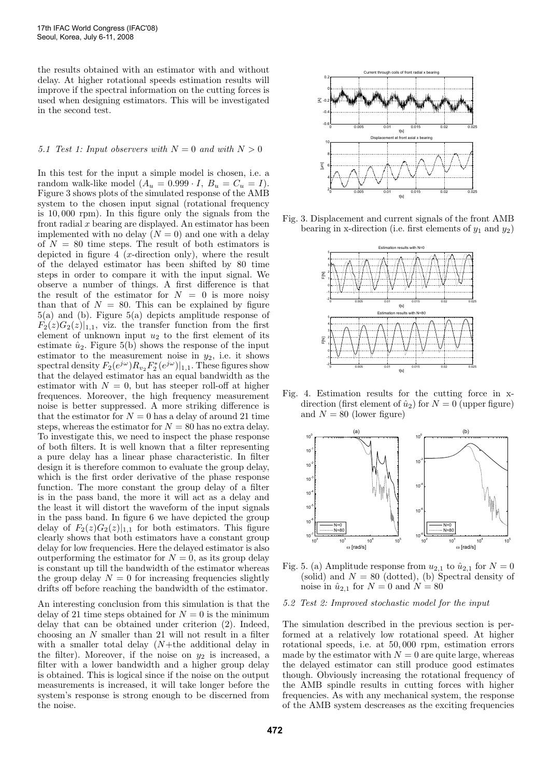the results obtained with an estimator with and without delay. At higher rotational speeds estimation results will improve if the spectral information on the cutting forces is used when designing estimators. This will be investigated in the second test.

### 5.1 Test 1: Input observers with  $N = 0$  and with  $N > 0$

In this test for the input a simple model is chosen, i.e. a random walk-like model  $(A_u = 0.999 \cdot I, B_u = C_u = I).$ Figure 3 shows plots of the simulated response of the AMB system to the chosen input signal (rotational frequency is 10, 000 rpm). In this figure only the signals from the front radial  $x$  bearing are displayed. An estimator has been implemented with no delay  $(N = 0)$  and one with a delay of  $N = 80$  time steps. The result of both estimators is depicted in figure 4 (x-direction only), where the result of the delayed estimator has been shifted by 80 time steps in order to compare it with the input signal. We observe a number of things. A first difference is that the result of the estimator for  $N = 0$  is more noisy than that of  $N = 80$ . This can be explained by figure 5(a) and (b). Figure 5(a) depicts amplitude response of  $F_2(z)G_2(z)|_{1,1}$ , viz. the transfer function from the first element of unknown input  $u_2$  to the first element of its estimate  $\hat{u}_2$ . Figure 5(b) shows the response of the input estimator to the measurement noise in  $y_2$ , i.e. it shows spectral density  $F_2(e^{j\omega})R_{v_2}F_2^*(e^{j\omega})|_{1,1}$ . These figures show that the delayed estimator has an equal bandwidth as the estimator with  $N = 0$ , but has steeper roll-off at higher frequences. Moreover, the high frequency measurement noise is better suppressed. A more striking difference is that the estimator for  $N = 0$  has a delay of around 21 time steps, whereas the estimator for  $N = 80$  has no extra delay. To investigate this, we need to inspect the phase response of both filters. It is well known that a filter representing a pure delay has a linear phase characteristic. In filter design it is therefore common to evaluate the group delay, which is the first order derivative of the phase response function. The more constant the group delay of a filter is in the pass band, the more it will act as a delay and the least it will distort the waveform of the input signals in the pass band. In figure 6 we have depicted the group delay of  $F_2(z)G_2(z)|_{1,1}$  for both estimators. This figure clearly shows that both estimators have a constant group delay for low frequencies. Here the delayed estimator is also outperforming the estimator for  $N = 0$ , as its group delay is constant up till the bandwidth of the estimator whereas the group delay  $N = 0$  for increasing frequencies slightly drifts off before reaching the bandwidth of the estimator.

An interesting conclusion from this simulation is that the delay of 21 time steps obtained for  $N = 0$  is the minimum delay that can be obtained under criterion (2). Indeed, choosing an N smaller than 21 will not result in a filter with a smaller total delay  $(N+$ the additional delay in the filter). Moreover, if the noise on  $y_2$  is increased, a filter with a lower bandwidth and a higher group delay is obtained. This is logical since if the noise on the output measurements is increased, it will take longer before the system's response is strong enough to be discerned from the noise.



Fig. 3. Displacement and current signals of the front AMB bearing in x-direction (i.e. first elements of  $y_1$  and  $y_2$ )



Fig. 4. Estimation results for the cutting force in xdirection (first element of  $\hat{u}_2$ ) for  $N = 0$  (upper figure) and  $N = 80$  (lower figure)



Fig. 5. (a) Amplitude response from  $u_{2,1}$  to  $\hat{u}_{2,1}$  for  $N = 0$ (solid) and  $N = 80$  (dotted), (b) Spectral density of noise in  $\hat{u}_{2,1}$  for  $N = 0$  and  $N = 80$ 

#### 5.2 Test 2: Improved stochastic model for the input

The simulation described in the previous section is performed at a relatively low rotational speed. At higher rotational speeds, i.e. at 50, 000 rpm, estimation errors made by the estimator with  $N = 0$  are quite large, whereas the delayed estimator can still produce good estimates though. Obviously increasing the rotational frequency of the AMB spindle results in cutting forces with higher frequencies. As with any mechanical system, the response of the AMB system descreases as the exciting frequencies